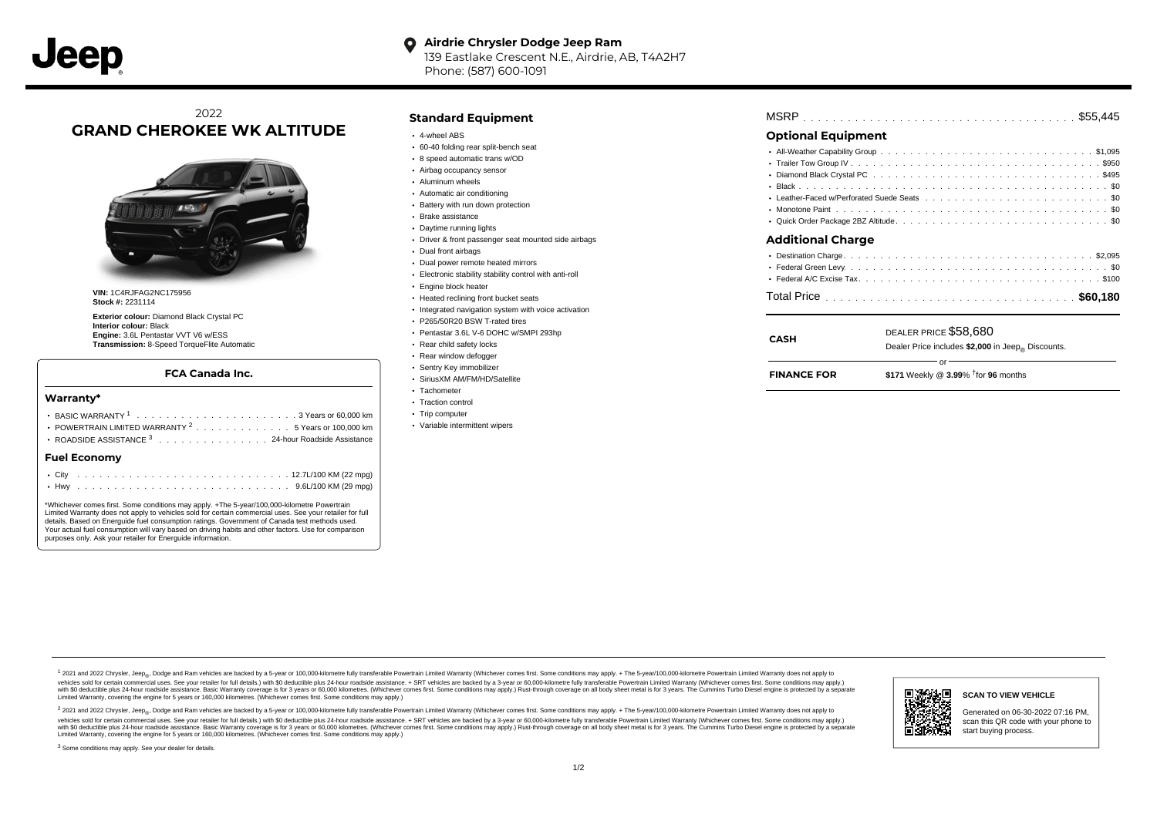#### **Airdrie Chrysler Dodge Jeep Ram**  $\bullet$ 139 Eastlake Crescent N.E., Airdrie, AB, T4A2H7

Phone: (587) 600-1091

# 2022 **GRAND CHEROKEE WK ALTITUDE**



**VIN:** 1C4RJFAG2NC175956 **Stock #:** 2231114

**Exterior colour:** Diamond Black Crystal PC **Interior colour:** Black **Engine:** 3.6L Pentastar VVT V6 w/ESS **Transmission:** 8-Speed TorqueFlite Automatic

### **FCA Canada Inc.**

#### **Warranty\***

| <b>Fuel Economv</b>                                            |  |  |  |  |  |  |  |
|----------------------------------------------------------------|--|--|--|--|--|--|--|
| ROADSIDE ASSISTANCE 3 24-hour Roadside Assistance              |  |  |  |  |  |  |  |
| POWERTRAIN LIMITED WARRANTY <sup>2</sup> 5 Years or 100,000 km |  |  |  |  |  |  |  |
|                                                                |  |  |  |  |  |  |  |
|                                                                |  |  |  |  |  |  |  |

\*Whichever comes first. Some conditions may apply. +The 5-year/100,000-kilometre Powertrain Limited Warranty does not apply to vehicles sold for certain commercial uses. See your retailer for full details. Based on Energuide fuel consumption ratings. Government of Canada test methods used. Your actual fuel consumption will vary based on driving habits and other factors. Use for comparison purposes only. Ask your retailer for Energuide information.

### **Standard Equipment**

- 4-wheel ABS
- 60-40 folding rear split-bench seat
- 8 speed automatic trans w/OD
- Airbag occupancy sensor Aluminum wheels
- 
- Automatic air conditioning
- Battery with run down protection Brake assistance
- Daytime running lights
- Driver & front passenger seat mounted side airbags
- Dual front airbags
- Dual power remote heated mirrors
- Electronic stability stability control with anti-roll
- **Engine block heater**
- Heated reclining front bucket seats
- Integrated navigation system with voice activation
- P265/50R20 BSW T-rated tires
- Pentastar 3.6L V-6 DOHC w/SMPI 293hp
- Rear child safety locks
- Rear window defogger
- Sentry Key immobilizer
- SiriusXM AM/FM/HD/Satellite
- Tachometer
- Traction control
- Trip computer
- Variable intermittent wipers

# . . . . . . . . . . . . . . . . . . . . . . . . . . . . . . . . . . . . . . . . . . . . . . MSRP \$55,445

## **Optional Equipment**

| <b>Additional Charge</b> |  |
|--------------------------|--|
|                          |  |
|                          |  |
|                          |  |

| CASH               | DEALER PRICE \$58,680<br>Dealer Price includes \$2,000 in Jeep <sub>®</sub> Discounts. |  |  |  |  |  |  |  |  |  |
|--------------------|----------------------------------------------------------------------------------------|--|--|--|--|--|--|--|--|--|
| <b>FINANCE FOR</b> | \$171 Weekly @ $3.99\%$ <sup>†</sup> for 96 months                                     |  |  |  |  |  |  |  |  |  |

1 2021 and 2022 Chrysler, Jeep<sub>en</sub> Dodge and Ram vehicles are backed by a 5-year or 100,000-kilometre fully transferable Powertrain Limited Warranty (Whichever comes first. Some conditions may apply. + The 5-year/100,000-k vehicles sold for certain commercial uses. See your retailer for full details.) with \$0 deductible plus 24 hour roadside assistance. + SRT vehicles are backed by a 3-year or 60,000-kilometre fully transferable Powertrain L ventals and contract when the contract when the contract you contract when the contract when the control of the set of a set of a set of a set of 3 years of 60,000 kilometres. Whichever comes first. Some conditions may app Limited Warranty, covering the engine for 5 years or 160,000 kilometres. (Whichever comes first. Some conditions may apply.)

<sup>2</sup> 2021 and 2022 Chrysler, Jeep<sub>®</sub>, Dodge and Ram vehicles are backed by a 5-year or 100,000-kilometre fully transferable Powertrain Limited Warranty (Whichever comes first. Some conditions may apply. + The 5-year/100,000 vehicles sold for certain commercial uses. See your retailer for full details.) with SO deductible plus 24-hour roadside assistance. + SRT vehicles are backed by a 3-year or 60.000-kilometre fully transferable Powertrain L with S0 deductible plus 24-hour roadside assistance. Basic Warranty coverage is for 3 years or 60,000 kilometres. (Whichever comes first. Some conditions may apply.) Rust-through coverage on all body sheet metal is for 3 y



### **SCAN TO VIEW VEHICLE**

Generated on 06-30-2022 07:16 PM, scan this QR code with your phone to start buying process.

<sup>3</sup> Some conditions may apply. See your dealer for details.